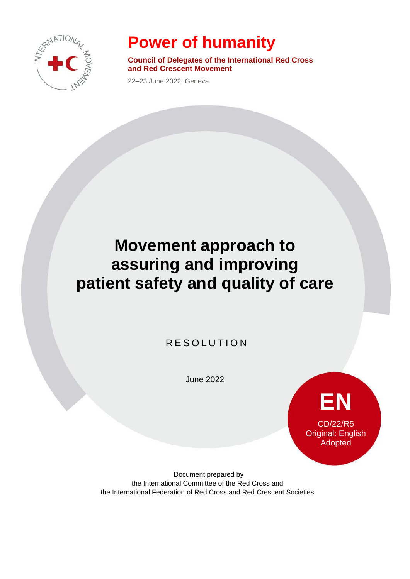

## **Power of humanity**

**Council of Delegates of the International Red Cross and Red Crescent Movement**

22–23 June 2022, Geneva

## **Movement approach to assuring and improving patient safety and quality of care**

R E SOLUTION

June 2022



Document prepared by the International Committee of the Red Cross and the International Federation of Red Cross and Red Crescent Societies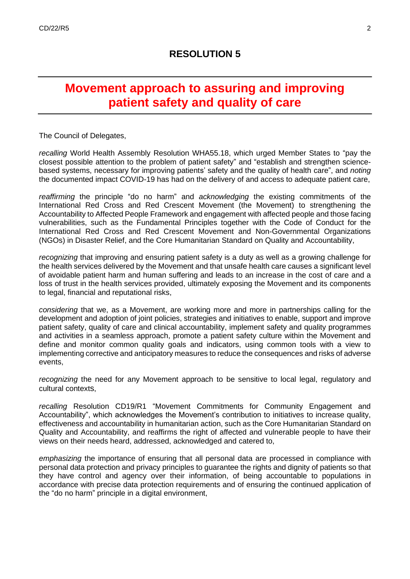## **Movement approach to assuring and improving patient safety and quality of care**

The Council of Delegates,

*recalling* World Health Assembly Resolution WHA55.18, which urged Member States to "pay the closest possible attention to the problem of patient safety" and "establish and strengthen sciencebased systems, necessary for improving patients' safety and the quality of health care", and *noting* the documented impact COVID-19 has had on the delivery of and access to adequate patient care,

*reaffirming* the principle "do no harm" and *acknowledging* the existing commitments of the International Red Cross and Red Crescent Movement (the Movement) to strengthening the Accountability to Affected People Framework and engagement with affected people and those facing vulnerabilities, such as the Fundamental Principles together with the Code of Conduct for the International Red Cross and Red Crescent Movement and Non-Governmental Organizations (NGOs) in Disaster Relief, and the Core Humanitarian Standard on Quality and Accountability,

*recognizing* that improving and ensuring patient safety is a duty as well as a growing challenge for the health services delivered by the Movement and that unsafe health care causes a significant level of avoidable patient harm and human suffering and leads to an increase in the cost of care and a loss of trust in the health services provided, ultimately exposing the Movement and its components to legal, financial and reputational risks,

*considering* that we, as a Movement, are working more and more in partnerships calling for the development and adoption of joint policies, strategies and initiatives to enable, support and improve patient safety, quality of care and clinical accountability, implement safety and quality programmes and activities in a seamless approach, promote a patient safety culture within the Movement and define and monitor common quality goals and indicators, using common tools with a view to implementing corrective and anticipatory measures to reduce the consequences and risks of adverse events,

*recognizing* the need for any Movement approach to be sensitive to local legal, regulatory and cultural contexts,

*recalling* Resolution CD19/R1 "Movement Commitments for Community Engagement and Accountability", which acknowledges the Movement's contribution to initiatives to increase quality, effectiveness and accountability in humanitarian action, such as the Core Humanitarian Standard on Quality and Accountability, and reaffirms the right of affected and vulnerable people to have their views on their needs heard, addressed, acknowledged and catered to,

*emphasizing* the importance of ensuring that all personal data are processed in compliance with personal data protection and privacy principles to guarantee the rights and dignity of patients so that they have control and agency over their information, of being accountable to populations in accordance with precise data protection requirements and of ensuring the continued application of the "do no harm" principle in a digital environment,